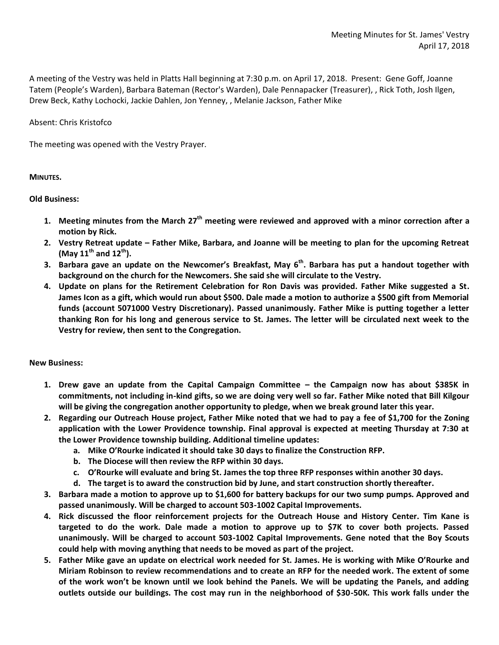A meeting of the Vestry was held in Platts Hall beginning at 7:30 p.m. on April 17, 2018. Present: Gene Goff, Joanne Tatem (People's Warden), Barbara Bateman (Rector's Warden), Dale Pennapacker (Treasurer), , Rick Toth, Josh Ilgen, Drew Beck, Kathy Lochocki, Jackie Dahlen, Jon Yenney, , Melanie Jackson, Father Mike

Absent: Chris Kristofco

The meeting was opened with the Vestry Prayer.

**MINUTES.**

**Old Business:**

- **1. Meeting minutes from the March 27th meeting were reviewed and approved with a minor correction after a motion by Rick.**
- **2. Vestry Retreat update – Father Mike, Barbara, and Joanne will be meeting to plan for the upcoming Retreat (May 11th and 12th).**
- **3. Barbara gave an update on the Newcomer's Breakfast, May 6th. Barbara has put a handout together with background on the church for the Newcomers. She said she will circulate to the Vestry.**
- **4. Update on plans for the Retirement Celebration for Ron Davis was provided. Father Mike suggested a St. James Icon as a gift, which would run about \$500. Dale made a motion to authorize a \$500 gift from Memorial funds (account 5071000 Vestry Discretionary). Passed unanimously. Father Mike is putting together a letter thanking Ron for his long and generous service to St. James. The letter will be circulated next week to the Vestry for review, then sent to the Congregation.**

**New Business:**

- **1. Drew gave an update from the Capital Campaign Committee – the Campaign now has about \$385K in commitments, not including in-kind gifts, so we are doing very well so far. Father Mike noted that Bill Kilgour will be giving the congregation another opportunity to pledge, when we break ground later this year.**
- **2. Regarding our Outreach House project, Father Mike noted that we had to pay a fee of \$1,700 for the Zoning application with the Lower Providence township. Final approval is expected at meeting Thursday at 7:30 at the Lower Providence township building. Additional timeline updates:**
	- **a. Mike O'Rourke indicated it should take 30 days to finalize the Construction RFP.**
	- **b. The Diocese will then review the RFP within 30 days.**
	- **c. O'Rourke will evaluate and bring St. James the top three RFP responses within another 30 days.**
	- **d. The target is to award the construction bid by June, and start construction shortly thereafter.**
- **3. Barbara made a motion to approve up to \$1,600 for battery backups for our two sump pumps. Approved and passed unanimously. Will be charged to account 503-1002 Capital Improvements.**
- **4. Rick discussed the floor reinforcement projects for the Outreach House and History Center. Tim Kane is targeted to do the work. Dale made a motion to approve up to \$7K to cover both projects. Passed unanimously. Will be charged to account 503-1002 Capital Improvements. Gene noted that the Boy Scouts could help with moving anything that needs to be moved as part of the project.**
- **5. Father Mike gave an update on electrical work needed for St. James. He is working with Mike O'Rourke and Miriam Robinson to review recommendations and to create an RFP for the needed work. The extent of some of the work won't be known until we look behind the Panels. We will be updating the Panels, and adding outlets outside our buildings. The cost may run in the neighborhood of \$30-50K. This work falls under the**